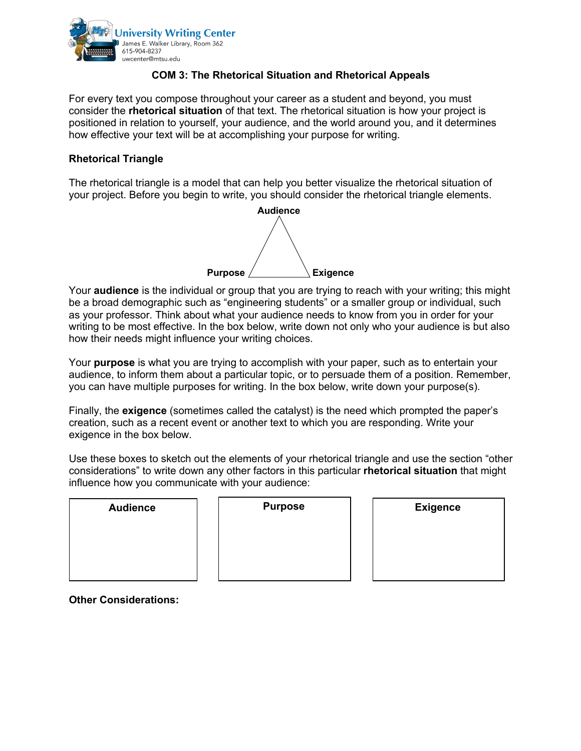

## **COM 3: The Rhetorical Situation and Rhetorical Appeals**

For every text you compose throughout your career as a student and beyond, you must consider the **rhetorical situation** of that text. The rhetorical situation is how your project is positioned in relation to yourself, your audience, and the world around you, and it determines how effective your text will be at accomplishing your purpose for writing.

## **Rhetorical Triangle**

The rhetorical triangle is a model that can help you better visualize the rhetorical situation of your project. Before you begin to write, you should consider the rhetorical triangle elements.



Your **audience** is the individual or group that you are trying to reach with your writing; this might be a broad demographic such as "engineering students" or a smaller group or individual, such as your professor. Think about what your audience needs to know from you in order for your writing to be most effective. In the box below, write down not only who your audience is but also how their needs might influence your writing choices.

Your **purpose** is what you are trying to accomplish with your paper, such as to entertain your audience, to inform them about a particular topic, or to persuade them of a position. Remember, you can have multiple purposes for writing. In the box below, write down your purpose(s).

Finally, the **exigence** (sometimes called the catalyst) is the need which prompted the paper's creation, such as a recent event or another text to which you are responding. Write your exigence in the box below.

Use these boxes to sketch out the elements of your rhetorical triangle and use the section "other considerations" to write down any other factors in this particular **rhetorical situation** that might influence how you communicate with your audience:

| <b>Audience</b> | <b>Purpose</b> | <b>Exigence</b> |
|-----------------|----------------|-----------------|
|                 |                |                 |
|                 |                |                 |
|                 |                |                 |

**Other Considerations:**